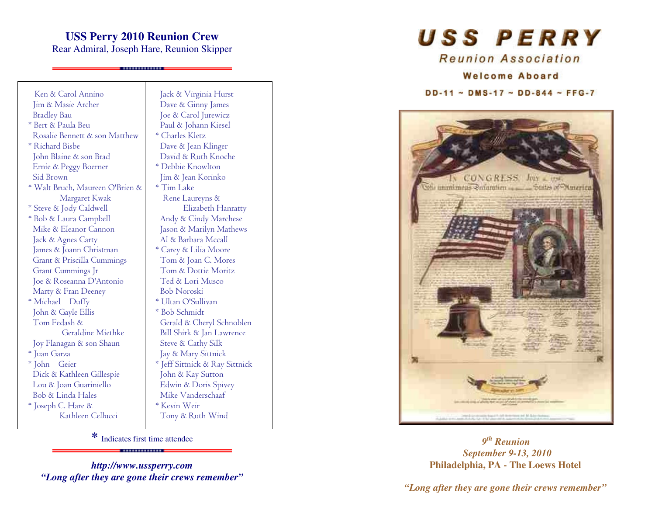## **USS Perry 2010 Reunion Crew**

Rear Admiral, Joseph Hare, Reunion Skipper

. . . . . . . . . . . . . . . .

Ken & Carol Annino **Iim & Masie Archer Bradley Bau** \* Bert & Paula Beu Rosalie Bennett & son Matthew \* Richard Bisbe John Blaine & son Brad Ernie & Peggy Boerner Sid Brown \* Walt Bruch, Maureen O'Brien & Margaret Kwak \* Steve & Jody Caldwell \* Bob & Laura Campbell Mike & Eleanor Cannon Jack & Agnes Carty James & Joann Christman Grant & Priscilla Cummings Grant Cummings Jr Joe & Roseanna D'Antonio Marty & Fran Deeney \* Michael Duffy John & Gayle Ellis Tom Fedash & Geraldine Miethke Joy Flanagan & son Shaun \* Juan Garza \* John Geier Dick & Kathleen Gillespie Lou & Joan Guariniello Bob & Linda Hales \* Joseph C. Hare & Kathleen Cellucci

Jack & Virginia Hurst Dave & Ginny James Joe & Carol Jurewicz Paul & Johann Kiesel \* Charles Kletz Dave & Jean Klinger David & Ruth Knoche \* Debbie Knowlton Jim & Jean Korinko \* Tim Lake Rene Laurevns & Elizabeth Hanratty Andy & Cindy Marchese Jason & Marilyn Mathews Al & Barbara Mccall \* Carey & Lilia Moore Tom & Joan C. Mores Tom & Dottie Moritz Ted & Lori Musco **Bob Noroski** \* Ultan O'Sullivan \* Bob Schmidt Gerald & Chervl Schnoblen Bill Shirk & Jan Lawrence Steve & Cathy Silk Jay & Mary Sittnick \* Jeff Sittnick & Ray Sittnick John & Kay Sutton Edwin & Doris Spivey Mike Vanderschaaf \* Kevin Weir Tony & Ruth Wind

\* Indicates first time attendee . . . . . . . . . . . . . . . . . . . .

http://www.ussperry.com "Long after they are gone their crews remember" USS PERRY

Reunion Association

#### **Welcome Aboard**

#### $DD-11 \sim DMS-17 \sim DD-844 \sim FFG-7$



 $9<sup>th</sup>$  Reunion **September 9-13, 2010** Philadelphia, PA - The Loews Hotel

"Long after they are gone their crews remember"